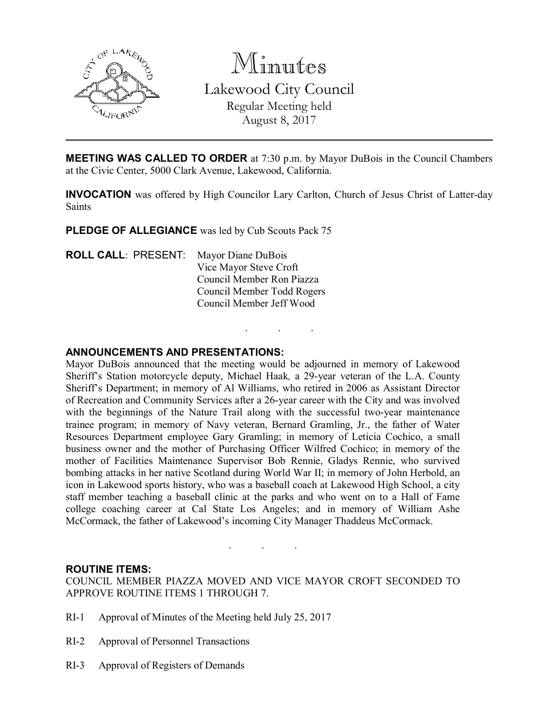

Minutes Lakewood City Council Regular Meeting held August 8, 2017

MEETING WAS CALLED TO ORDER at 7:30 p.m. by Mayor DuBois in the Council Chambers at the Civic Center, 5000 Clark Avenue, Lakewood, California.

INVOCATION was offered by High Councilor Lary Carlton, Church of Jesus Christ of Latter-day Saints

. . .

PLEDGE OF ALLEGIANCE was led by Cub Scouts Pack 75

ROLL CALL: PRESENT: Mayor Diane DuBois Vice Mayor Steve Croft Council Member Ron Piazza Council Member Todd Rogers Council Member Jeff Wood

#### ANNOUNCEMENTS AND PRESENTATIONS:

Mayor DuBois announced that the meeting would be adjourned in memory of Lakewood Sheriff's Station motorcycle deputy, Michael Haak*,* a 29-year veteran of the L.A. County Sheriff's Department; in memory of Al Williams, who retired in 2006 as Assistant Director of Recreation and Community Services after a 26-year career with the City and was involved with the beginnings of the Nature Trail along with the successful two-year maintenance trainee program; in memory of Navy veteran, Bernard Gramling, Jr., the father of Water Resources Department employee Gary Gramling; in memory of Leticia Cochico, a small business owner and the mother of Purchasing Officer Wilfred Cochico; in memory of the mother of Facilities Maintenance Supervisor Bob Rennie, Gladys Rennie, who survived bombing attacks in her native Scotland during World War II; in memory of John Herbold, an icon in Lakewood sports history, who was a baseball coach at Lakewood High School, a city staff member teaching a baseball clinic at the parks and who went on to a Hall of Fame college coaching career at Cal State Los Angeles; and in memory of William Ashe McCormack, the father of Lakewood's incoming City Manager Thaddeus McCormack.

#### ROUTINE ITEMS:

COUNCIL MEMBER PIAZZA MOVED AND VICE MAYOR CROFT SECONDED TO APPROVE ROUTINE ITEMS 1 THROUGH 7.

. . .

- RI-1 Approval of Minutes of the Meeting held July 25, 2017
- RI-2 Approval of Personnel Transactions
- RI-3 Approval of Registers of Demands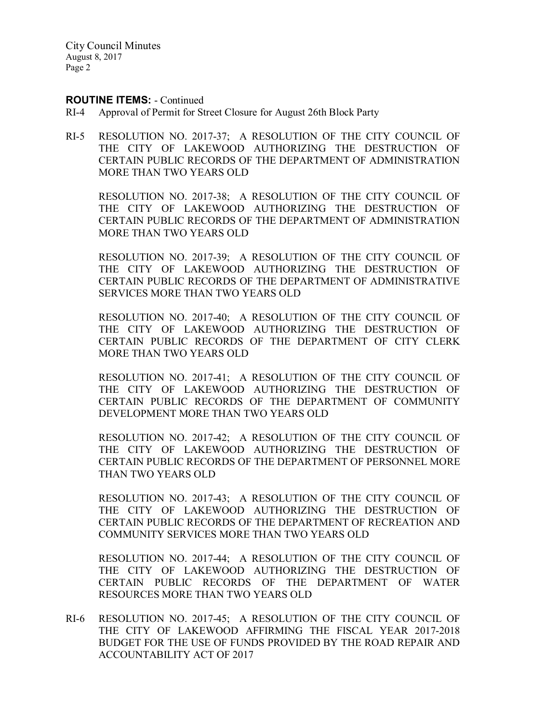#### ROUTINE ITEMS: - Continued

- RI-4 Approval of Permit for Street Closure for August 26th Block Party
- RI-5 RESOLUTION NO. 2017-37; A RESOLUTION OF THE CITY COUNCIL OF THE CITY OF LAKEWOOD AUTHORIZING THE DESTRUCTION OF CERTAIN PUBLIC RECORDS OF THE DEPARTMENT OF ADMINISTRATION MORE THAN TWO YEARS OLD

RESOLUTION NO. 2017-38; A RESOLUTION OF THE CITY COUNCIL OF THE CITY OF LAKEWOOD AUTHORIZING THE DESTRUCTION OF CERTAIN PUBLIC RECORDS OF THE DEPARTMENT OF ADMINISTRATION MORE THAN TWO YEARS OLD

RESOLUTION NO. 2017-39; A RESOLUTION OF THE CITY COUNCIL OF THE CITY OF LAKEWOOD AUTHORIZING THE DESTRUCTION OF CERTAIN PUBLIC RECORDS OF THE DEPARTMENT OF ADMINISTRATIVE SERVICES MORE THAN TWO YEARS OLD

RESOLUTION NO. 2017-40; A RESOLUTION OF THE CITY COUNCIL OF THE CITY OF LAKEWOOD AUTHORIZING THE DESTRUCTION OF CERTAIN PUBLIC RECORDS OF THE DEPARTMENT OF CITY CLERK MORE THAN TWO YEARS OLD

RESOLUTION NO. 2017-41; A RESOLUTION OF THE CITY COUNCIL OF THE CITY OF LAKEWOOD AUTHORIZING THE DESTRUCTION OF CERTAIN PUBLIC RECORDS OF THE DEPARTMENT OF COMMUNITY DEVELOPMENT MORE THAN TWO YEARS OLD

RESOLUTION NO. 2017-42; A RESOLUTION OF THE CITY COUNCIL OF THE CITY OF LAKEWOOD AUTHORIZING THE DESTRUCTION OF CERTAIN PUBLIC RECORDS OF THE DEPARTMENT OF PERSONNEL MORE THAN TWO YEARS OLD

RESOLUTION NO. 2017-43; A RESOLUTION OF THE CITY COUNCIL OF THE CITY OF LAKEWOOD AUTHORIZING THE DESTRUCTION OF CERTAIN PUBLIC RECORDS OF THE DEPARTMENT OF RECREATION AND COMMUNITY SERVICES MORE THAN TWO YEARS OLD

RESOLUTION NO. 2017-44; A RESOLUTION OF THE CITY COUNCIL OF THE CITY OF LAKEWOOD AUTHORIZING THE DESTRUCTION OF CERTAIN PUBLIC RECORDS OF THE DEPARTMENT OF WATER RESOURCES MORE THAN TWO YEARS OLD

RI-6 RESOLUTION NO. 2017-45; A RESOLUTION OF THE CITY COUNCIL OF THE CITY OF LAKEWOOD AFFIRMING THE FISCAL YEAR 2017-2018 BUDGET FOR THE USE OF FUNDS PROVIDED BY THE ROAD REPAIR AND ACCOUNTABILITY ACT OF 2017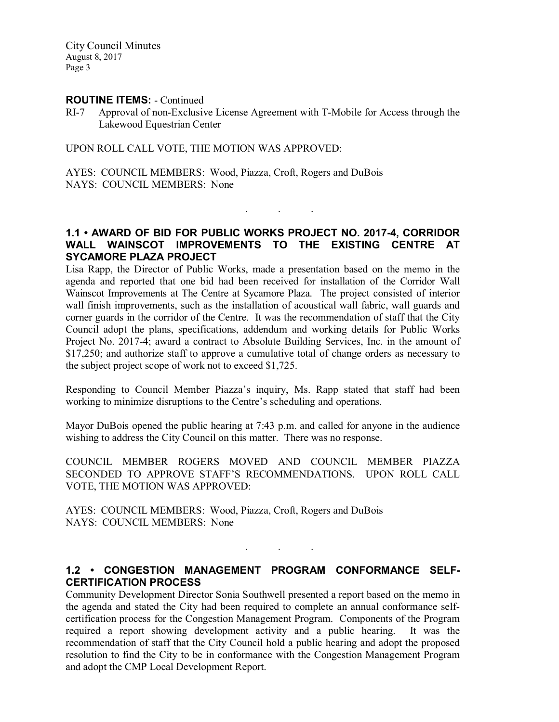#### ROUTINE ITEMS: - Continued

RI-7 Approval of non-Exclusive License Agreement with T-Mobile for Access through the Lakewood Equestrian Center

UPON ROLL CALL VOTE, THE MOTION WAS APPROVED:

AYES: COUNCIL MEMBERS: Wood, Piazza, Croft, Rogers and DuBois NAYS: COUNCIL MEMBERS: None

# 1.1 • AWARD OF BID FOR PUBLIC WORKS PROJECT NO. 2017-4, CORRIDOR WALL WAINSCOT IMPROVEMENTS TO THE EXISTING CENTRE AT SYCAMORE PLAZA PROJECT

. . .

Lisa Rapp, the Director of Public Works, made a presentation based on the memo in the agenda and reported that one bid had been received for installation of the Corridor Wall Wainscot Improvements at The Centre at Sycamore Plaza. The project consisted of interior wall finish improvements, such as the installation of acoustical wall fabric, wall guards and corner guards in the corridor of the Centre. It was the recommendation of staff that the City Council adopt the plans, specifications, addendum and working details for Public Works Project No. 2017-4; award a contract to Absolute Building Services, Inc. in the amount of \$17,250; and authorize staff to approve a cumulative total of change orders as necessary to the subject project scope of work not to exceed \$1,725.

Responding to Council Member Piazza's inquiry, Ms. Rapp stated that staff had been working to minimize disruptions to the Centre's scheduling and operations.

Mayor DuBois opened the public hearing at 7:43 p.m. and called for anyone in the audience wishing to address the City Council on this matter. There was no response.

COUNCIL MEMBER ROGERS MOVED AND COUNCIL MEMBER PIAZZA SECONDED TO APPROVE STAFF'S RECOMMENDATIONS. UPON ROLL CALL VOTE, THE MOTION WAS APPROVED:

AYES: COUNCIL MEMBERS: Wood, Piazza, Croft, Rogers and DuBois NAYS: COUNCIL MEMBERS: None

## 1.2 • CONGESTION MANAGEMENT PROGRAM CONFORMANCE SELF-CERTIFICATION PROCESS

. . .

Community Development Director Sonia Southwell presented a report based on the memo in the agenda and stated the City had been required to complete an annual conformance selfcertification process for the Congestion Management Program. Components of the Program required a report showing development activity and a public hearing. It was the recommendation of staff that the City Council hold a public hearing and adopt the proposed resolution to find the City to be in conformance with the Congestion Management Program and adopt the CMP Local Development Report.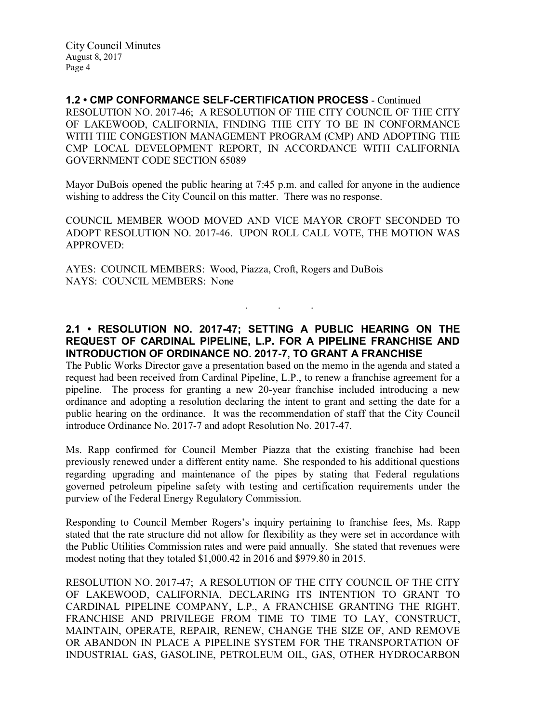1.2 • CMP CONFORMANCE SELF-CERTIFICATION PROCESS - Continued RESOLUTION NO. 2017-46; A RESOLUTION OF THE CITY COUNCIL OF THE CITY OF LAKEWOOD, CALIFORNIA, FINDING THE CITY TO BE IN CONFORMANCE WITH THE CONGESTION MANAGEMENT PROGRAM (CMP) AND ADOPTING THE CMP LOCAL DEVELOPMENT REPORT, IN ACCORDANCE WITH CALIFORNIA GOVERNMENT CODE SECTION 65089

Mayor DuBois opened the public hearing at 7:45 p.m. and called for anyone in the audience wishing to address the City Council on this matter. There was no response.

COUNCIL MEMBER WOOD MOVED AND VICE MAYOR CROFT SECONDED TO ADOPT RESOLUTION NO. 2017-46. UPON ROLL CALL VOTE, THE MOTION WAS APPROVED:

AYES: COUNCIL MEMBERS: Wood, Piazza, Croft, Rogers and DuBois NAYS: COUNCIL MEMBERS: None

# 2.1 • RESOLUTION NO. 2017-47; SETTING A PUBLIC HEARING ON THE REQUEST OF CARDINAL PIPELINE, L.P. FOR A PIPELINE FRANCHISE AND INTRODUCTION OF ORDINANCE NO. 2017-7, TO GRANT A FRANCHISE

. . .

The Public Works Director gave a presentation based on the memo in the agenda and stated a request had been received from Cardinal Pipeline, L.P., to renew a franchise agreement for a pipeline. The process for granting a new 20-year franchise included introducing a new ordinance and adopting a resolution declaring the intent to grant and setting the date for a public hearing on the ordinance. It was the recommendation of staff that the City Council introduce Ordinance No. 2017-7 and adopt Resolution No. 2017-47.

Ms. Rapp confirmed for Council Member Piazza that the existing franchise had been previously renewed under a different entity name. She responded to his additional questions regarding upgrading and maintenance of the pipes by stating that Federal regulations governed petroleum pipeline safety with testing and certification requirements under the purview of the Federal Energy Regulatory Commission.

Responding to Council Member Rogers's inquiry pertaining to franchise fees, Ms. Rapp stated that the rate structure did not allow for flexibility as they were set in accordance with the Public Utilities Commission rates and were paid annually. She stated that revenues were modest noting that they totaled \$1,000.42 in 2016 and \$979.80 in 2015.

RESOLUTION NO. 2017-47; A RESOLUTION OF THE CITY COUNCIL OF THE CITY OF LAKEWOOD, CALIFORNIA, DECLARING ITS INTENTION TO GRANT TO CARDINAL PIPELINE COMPANY, L.P., A FRANCHISE GRANTING THE RIGHT, FRANCHISE AND PRIVILEGE FROM TIME TO TIME TO LAY, CONSTRUCT, MAINTAIN, OPERATE, REPAIR, RENEW, CHANGE THE SIZE OF, AND REMOVE OR ABANDON IN PLACE A PIPELINE SYSTEM FOR THE TRANSPORTATION OF INDUSTRIAL GAS, GASOLINE, PETROLEUM OIL, GAS, OTHER HYDROCARBON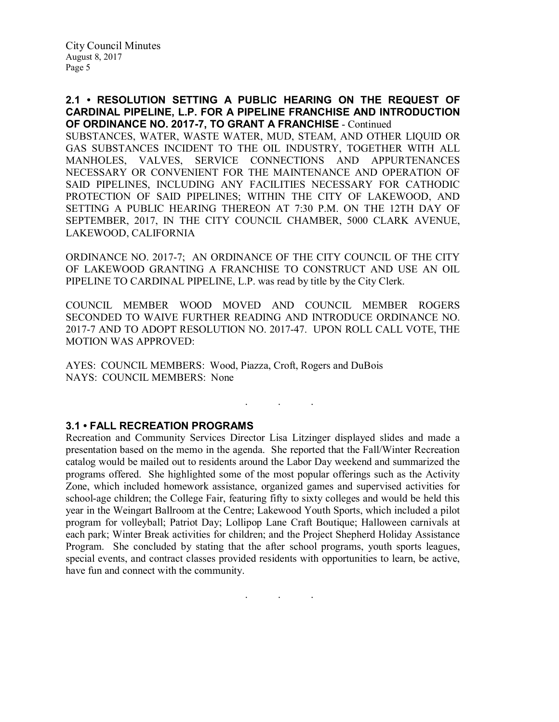### 2.1 • RESOLUTION SETTING A PUBLIC HEARING ON THE REQUEST OF CARDINAL PIPELINE, L.P. FOR A PIPELINE FRANCHISE AND INTRODUCTION OF ORDINANCE NO. 2017-7, TO GRANT A FRANCHISE - Continued

SUBSTANCES, WATER, WASTE WATER, MUD, STEAM, AND OTHER LIQUID OR GAS SUBSTANCES INCIDENT TO THE OIL INDUSTRY, TOGETHER WITH ALL MANHOLES, VALVES, SERVICE CONNECTIONS AND APPURTENANCES NECESSARY OR CONVENIENT FOR THE MAINTENANCE AND OPERATION OF SAID PIPELINES, INCLUDING ANY FACILITIES NECESSARY FOR CATHODIC PROTECTION OF SAID PIPELINES; WITHIN THE CITY OF LAKEWOOD, AND SETTING A PUBLIC HEARING THEREON AT 7:30 P.M. ON THE 12TH DAY OF SEPTEMBER, 2017, IN THE CITY COUNCIL CHAMBER, 5000 CLARK AVENUE, LAKEWOOD, CALIFORNIA

ORDINANCE NO. 2017-7; AN ORDINANCE OF THE CITY COUNCIL OF THE CITY OF LAKEWOOD GRANTING A FRANCHISE TO CONSTRUCT AND USE AN OIL PIPELINE TO CARDINAL PIPELINE, L.P. was read by title by the City Clerk.

COUNCIL MEMBER WOOD MOVED AND COUNCIL MEMBER ROGERS SECONDED TO WAIVE FURTHER READING AND INTRODUCE ORDINANCE NO. 2017-7 AND TO ADOPT RESOLUTION NO. 2017-47. UPON ROLL CALL VOTE, THE MOTION WAS APPROVED:

AYES: COUNCIL MEMBERS: Wood, Piazza, Croft, Rogers and DuBois NAYS: COUNCIL MEMBERS: None

#### . . .

#### 3.1 • FALL RECREATION PROGRAMS

Recreation and Community Services Director Lisa Litzinger displayed slides and made a presentation based on the memo in the agenda. She reported that the Fall/Winter Recreation catalog would be mailed out to residents around the Labor Day weekend and summarized the programs offered. She highlighted some of the most popular offerings such as the Activity Zone, which included homework assistance, organized games and supervised activities for school-age children; the College Fair, featuring fifty to sixty colleges and would be held this year in the Weingart Ballroom at the Centre; Lakewood Youth Sports, which included a pilot program for volleyball; Patriot Day; Lollipop Lane Craft Boutique; Halloween carnivals at each park; Winter Break activities for children; and the Project Shepherd Holiday Assistance Program. She concluded by stating that the after school programs, youth sports leagues, special events, and contract classes provided residents with opportunities to learn, be active, have fun and connect with the community.

. . .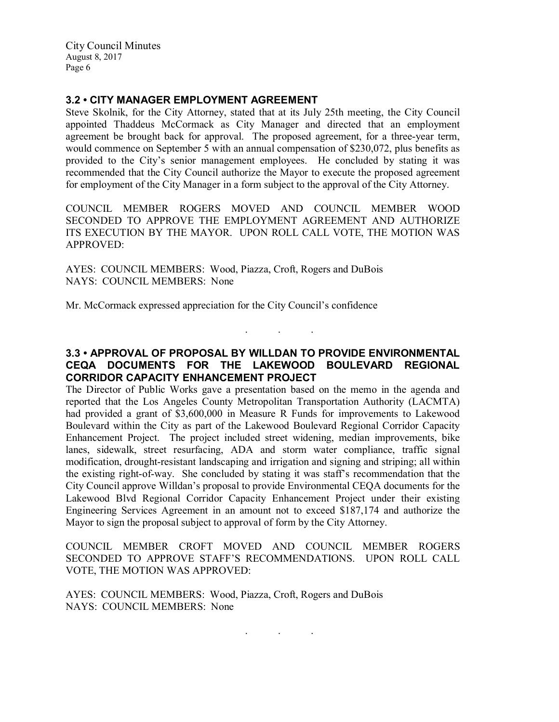### 3.2 • CITY MANAGER EMPLOYMENT AGREEMENT

Steve Skolnik, for the City Attorney, stated that at its July 25th meeting, the City Council appointed Thaddeus McCormack as City Manager and directed that an employment agreement be brought back for approval. The proposed agreement, for a three-year term, would commence on September 5 with an annual compensation of \$230,072, plus benefits as provided to the City's senior management employees. He concluded by stating it was recommended that the City Council authorize the Mayor to execute the proposed agreement for employment of the City Manager in a form subject to the approval of the City Attorney.

COUNCIL MEMBER ROGERS MOVED AND COUNCIL MEMBER WOOD SECONDED TO APPROVE THE EMPLOYMENT AGREEMENT AND AUTHORIZE ITS EXECUTION BY THE MAYOR. UPON ROLL CALL VOTE, THE MOTION WAS APPROVED:

AYES: COUNCIL MEMBERS: Wood, Piazza, Croft, Rogers and DuBois NAYS: COUNCIL MEMBERS: None

Mr. McCormack expressed appreciation for the City Council's confidence

# 3.3 • APPROVAL OF PROPOSAL BY WILLDAN TO PROVIDE ENVIRONMENTAL CEQA DOCUMENTS FOR THE LAKEWOOD BOULEVARD REGIONAL CORRIDOR CAPACITY ENHANCEMENT PROJECT

. . .

The Director of Public Works gave a presentation based on the memo in the agenda and reported that the Los Angeles County Metropolitan Transportation Authority (LACMTA) had provided a grant of \$3,600,000 in Measure R Funds for improvements to Lakewood Boulevard within the City as part of the Lakewood Boulevard Regional Corridor Capacity Enhancement Project. The project included street widening, median improvements, bike lanes, sidewalk, street resurfacing, ADA and storm water compliance, traffic signal modification, drought-resistant landscaping and irrigation and signing and striping; all within the existing right-of-way. She concluded by stating it was staff's recommendation that the City Council approve Willdan's proposal to provide Environmental CEQA documents for the Lakewood Blvd Regional Corridor Capacity Enhancement Project under their existing Engineering Services Agreement in an amount not to exceed \$187,174 and authorize the Mayor to sign the proposal subject to approval of form by the City Attorney.

COUNCIL MEMBER CROFT MOVED AND COUNCIL MEMBER ROGERS SECONDED TO APPROVE STAFF'S RECOMMENDATIONS. UPON ROLL CALL VOTE, THE MOTION WAS APPROVED:

. . .

AYES: COUNCIL MEMBERS: Wood, Piazza, Croft, Rogers and DuBois NAYS: COUNCIL MEMBERS: None